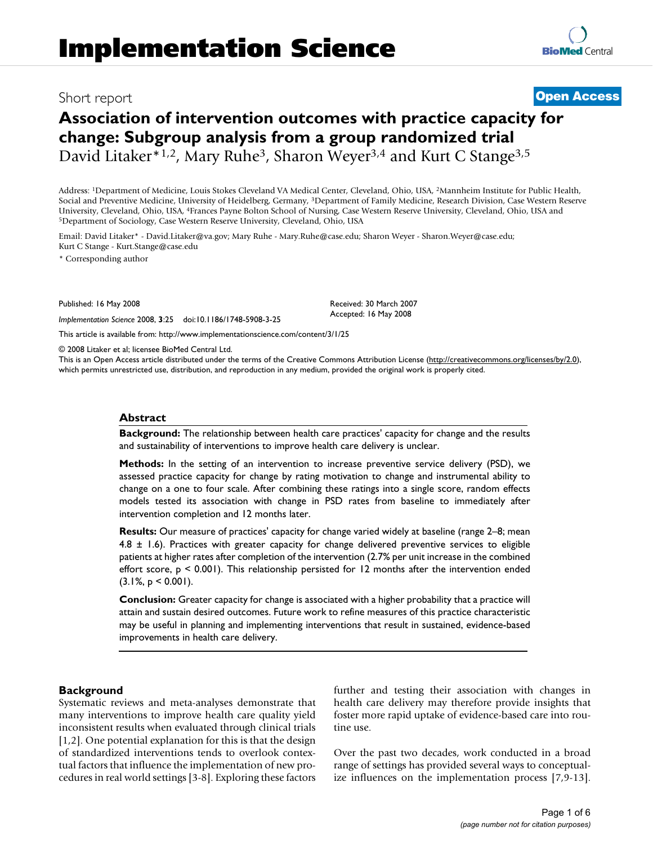## Short report **[Open Access](http://www.biomedcentral.com/info/about/charter/)**

**[BioMed](http://www.biomedcentral.com/)** Central

# **Association of intervention outcomes with practice capacity for change: Subgroup analysis from a group randomized trial** David Litaker<sup>\*1,2</sup>, Mary Ruhe<sup>3</sup>, Sharon Weyer<sup>3,4</sup> and Kurt C Stange<sup>3,5</sup>

Address: 1Department of Medicine, Louis Stokes Cleveland VA Medical Center, Cleveland, Ohio, USA, 2Mannheim Institute for Public Health, Social and Preventive Medicine, University of Heidelberg, Germany, 3Department of Family Medicine, Research Division, Case Western Reserve University, Cleveland, Ohio, USA, 4Frances Payne Bolton School of Nursing, Case Western Reserve University, Cleveland, Ohio, USA and 5Department of Sociology, Case Western Reserve University, Cleveland, Ohio, USA

Email: David Litaker\* - David.Litaker@va.gov; Mary Ruhe - Mary.Ruhe@case.edu; Sharon Weyer - Sharon.Weyer@case.edu; Kurt C Stange - Kurt.Stange@case.edu

\* Corresponding author

Published: 16 May 2008

*Implementation Science* 2008, **3**:25 doi:10.1186/1748-5908-3-25

[This article is available from: http://www.implementationscience.com/content/3/1/25](http://www.implementationscience.com/content/3/1/25)

© 2008 Litaker et al; licensee BioMed Central Ltd.

This is an Open Access article distributed under the terms of the Creative Commons Attribution License [\(http://creativecommons.org/licenses/by/2.0\)](http://creativecommons.org/licenses/by/2.0), which permits unrestricted use, distribution, and reproduction in any medium, provided the original work is properly cited.

Received: 30 March 2007 Accepted: 16 May 2008

#### **Abstract**

**Background:** The relationship between health care practices' capacity for change and the results and sustainability of interventions to improve health care delivery is unclear.

**Methods:** In the setting of an intervention to increase preventive service delivery (PSD), we assessed practice capacity for change by rating motivation to change and instrumental ability to change on a one to four scale. After combining these ratings into a single score, random effects models tested its association with change in PSD rates from baseline to immediately after intervention completion and 12 months later.

**Results:** Our measure of practices' capacity for change varied widely at baseline (range 2–8; mean 4.8  $\pm$  1.6). Practices with greater capacity for change delivered preventive services to eligible patients at higher rates after completion of the intervention (2.7% per unit increase in the combined effort score, p < 0.001). This relationship persisted for 12 months after the intervention ended  $(3.1\%, p < 0.001)$ .

**Conclusion:** Greater capacity for change is associated with a higher probability that a practice will attain and sustain desired outcomes. Future work to refine measures of this practice characteristic may be useful in planning and implementing interventions that result in sustained, evidence-based improvements in health care delivery.

#### **Background**

Systematic reviews and meta-analyses demonstrate that many interventions to improve health care quality yield inconsistent results when evaluated through clinical trials [1,2]. One potential explanation for this is that the design of standardized interventions tends to overlook contextual factors that influence the implementation of new procedures in real world settings [3-8]. Exploring these factors further and testing their association with changes in health care delivery may therefore provide insights that foster more rapid uptake of evidence-based care into routine use.

Over the past two decades, work conducted in a broad range of settings has provided several ways to conceptualize influences on the implementation process [7,9-13].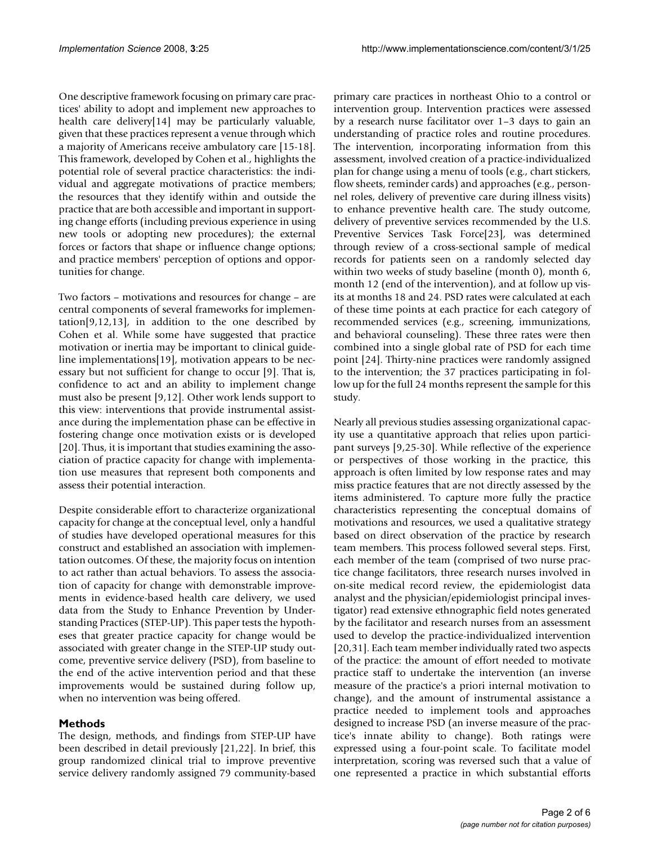One descriptive framework focusing on primary care practices' ability to adopt and implement new approaches to health care delivery[14] may be particularly valuable, given that these practices represent a venue through which a majority of Americans receive ambulatory care [15-18]. This framework, developed by Cohen et al., highlights the potential role of several practice characteristics: the individual and aggregate motivations of practice members; the resources that they identify within and outside the practice that are both accessible and important in supporting change efforts (including previous experience in using new tools or adopting new procedures); the external forces or factors that shape or influence change options; and practice members' perception of options and opportunities for change.

Two factors – motivations and resources for change – are central components of several frameworks for implemen- $\text{tation}[9,12,13]$ , in addition to the one described by Cohen et al. While some have suggested that practice motivation or inertia may be important to clinical guideline implementations[19], motivation appears to be necessary but not sufficient for change to occur [9]. That is, confidence to act and an ability to implement change must also be present [9,12]. Other work lends support to this view: interventions that provide instrumental assistance during the implementation phase can be effective in fostering change once motivation exists or is developed [20]. Thus, it is important that studies examining the association of practice capacity for change with implementation use measures that represent both components and assess their potential interaction.

Despite considerable effort to characterize organizational capacity for change at the conceptual level, only a handful of studies have developed operational measures for this construct and established an association with implementation outcomes. Of these, the majority focus on intention to act rather than actual behaviors. To assess the association of capacity for change with demonstrable improvements in evidence-based health care delivery, we used data from the Study to Enhance Prevention by Understanding Practices (STEP-UP). This paper tests the hypotheses that greater practice capacity for change would be associated with greater change in the STEP-UP study outcome, preventive service delivery (PSD), from baseline to the end of the active intervention period and that these improvements would be sustained during follow up, when no intervention was being offered.

### **Methods**

The design, methods, and findings from STEP-UP have been described in detail previously [21,22]. In brief, this group randomized clinical trial to improve preventive service delivery randomly assigned 79 community-based

primary care practices in northeast Ohio to a control or intervention group. Intervention practices were assessed by a research nurse facilitator over 1–3 days to gain an understanding of practice roles and routine procedures. The intervention, incorporating information from this assessment, involved creation of a practice-individualized plan for change using a menu of tools (e.g., chart stickers, flow sheets, reminder cards) and approaches (e.g., personnel roles, delivery of preventive care during illness visits) to enhance preventive health care. The study outcome, delivery of preventive services recommended by the U.S. Preventive Services Task Force[23], was determined through review of a cross-sectional sample of medical records for patients seen on a randomly selected day within two weeks of study baseline (month 0), month 6, month 12 (end of the intervention), and at follow up visits at months 18 and 24. PSD rates were calculated at each of these time points at each practice for each category of recommended services (e.g., screening, immunizations, and behavioral counseling). These three rates were then combined into a single global rate of PSD for each time point [24]. Thirty-nine practices were randomly assigned to the intervention; the 37 practices participating in follow up for the full 24 months represent the sample for this study.

Nearly all previous studies assessing organizational capacity use a quantitative approach that relies upon participant surveys [9,25-30]. While reflective of the experience or perspectives of those working in the practice, this approach is often limited by low response rates and may miss practice features that are not directly assessed by the items administered. To capture more fully the practice characteristics representing the conceptual domains of motivations and resources, we used a qualitative strategy based on direct observation of the practice by research team members. This process followed several steps. First, each member of the team (comprised of two nurse practice change facilitators, three research nurses involved in on-site medical record review, the epidemiologist data analyst and the physician/epidemiologist principal investigator) read extensive ethnographic field notes generated by the facilitator and research nurses from an assessment used to develop the practice-individualized intervention [20,31]. Each team member individually rated two aspects of the practice: the amount of effort needed to motivate practice staff to undertake the intervention (an inverse measure of the practice's a priori internal motivation to change), and the amount of instrumental assistance a practice needed to implement tools and approaches designed to increase PSD (an inverse measure of the practice's innate ability to change). Both ratings were expressed using a four-point scale. To facilitate model interpretation, scoring was reversed such that a value of one represented a practice in which substantial efforts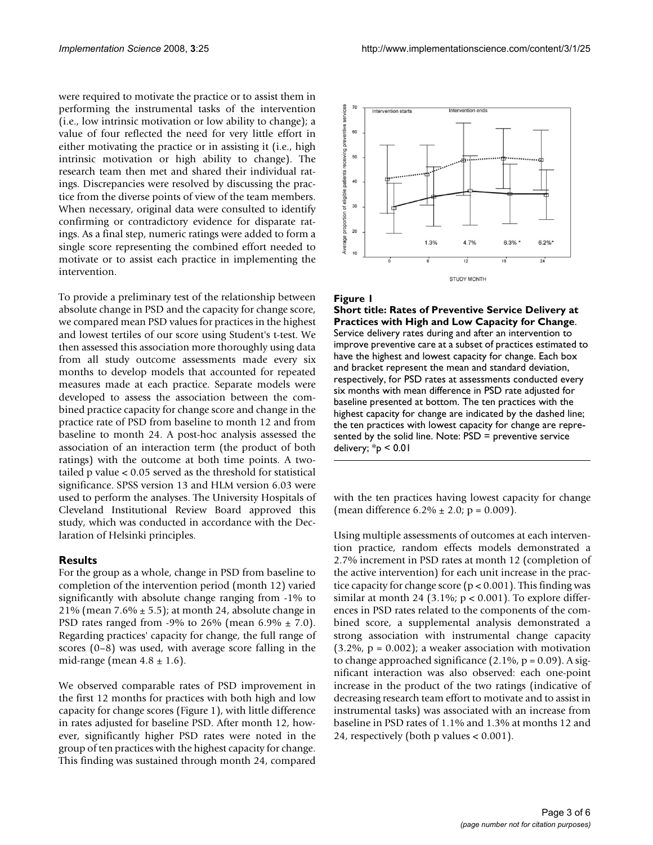were required to motivate the practice or to assist them in performing the instrumental tasks of the intervention (i.e., low intrinsic motivation or low ability to change); a value of four reflected the need for very little effort in either motivating the practice or in assisting it (i.e., high intrinsic motivation or high ability to change). The research team then met and shared their individual ratings. Discrepancies were resolved by discussing the practice from the diverse points of view of the team members. When necessary, original data were consulted to identify confirming or contradictory evidence for disparate ratings. As a final step, numeric ratings were added to form a single score representing the combined effort needed to motivate or to assist each practice in implementing the intervention.

To provide a preliminary test of the relationship between absolute change in PSD and the capacity for change score, we compared mean PSD values for practices in the highest and lowest tertiles of our score using Student's t-test. We then assessed this association more thoroughly using data from all study outcome assessments made every six months to develop models that accounted for repeated measures made at each practice. Separate models were developed to assess the association between the combined practice capacity for change score and change in the practice rate of PSD from baseline to month 12 and from baseline to month 24. A post-hoc analysis assessed the association of an interaction term (the product of both ratings) with the outcome at both time points. A twotailed p value < 0.05 served as the threshold for statistical significance. SPSS version 13 and HLM version 6.03 were used to perform the analyses. The University Hospitals of Cleveland Institutional Review Board approved this study, which was conducted in accordance with the Declaration of Helsinki principles.

#### **Results**

For the group as a whole, change in PSD from baseline to completion of the intervention period (month 12) varied significantly with absolute change ranging from -1% to 21% (mean  $7.6\% \pm 5.5$ ); at month 24, absolute change in PSD rates ranged from -9% to 26% (mean  $6.9\% \pm 7.0$ ). Regarding practices' capacity for change, the full range of scores (0–8) was used, with average score falling in the mid-range (mean  $4.8 \pm 1.6$ ).

We observed comparable rates of PSD improvement in the first 12 months for practices with both high and low capacity for change scores (Figure 1), with little difference in rates adjusted for baseline PSD. After month 12, however, significantly higher PSD rates were noted in the group of ten practices with the highest capacity for change. This finding was sustained through month 24, compared



#### Figure 1

**Short title: Rates of Preventive Service Delivery at Practices with High and Low Capacity for Change**. Service delivery rates during and after an intervention to improve preventive care at a subset of practices estimated to have the highest and lowest capacity for change. Each box and bracket represent the mean and standard deviation, respectively, for PSD rates at assessments conducted every six months with mean difference in PSD rate adjusted for baseline presented at bottom. The ten practices with the highest capacity for change are indicated by the dashed line; the ten practices with lowest capacity for change are represented by the solid line. Note: PSD = preventive service delivery; \*p < 0.01

with the ten practices having lowest capacity for change (mean difference  $6.2\% \pm 2.0$ ; p = 0.009).

Using multiple assessments of outcomes at each intervention practice, random effects models demonstrated a 2.7% increment in PSD rates at month 12 (completion of the active intervention) for each unit increase in the practice capacity for change score ( $p < 0.001$ ). This finding was similar at month 24 (3.1%;  $p < 0.001$ ). To explore differences in PSD rates related to the components of the combined score, a supplemental analysis demonstrated a strong association with instrumental change capacity  $(3.2\%, p = 0.002)$ ; a weaker association with motivation to change approached significance  $(2.1\%, p = 0.09)$ . A significant interaction was also observed: each one-point increase in the product of the two ratings (indicative of decreasing research team effort to motivate and to assist in instrumental tasks) was associated with an increase from baseline in PSD rates of 1.1% and 1.3% at months 12 and 24, respectively (both p values < 0.001).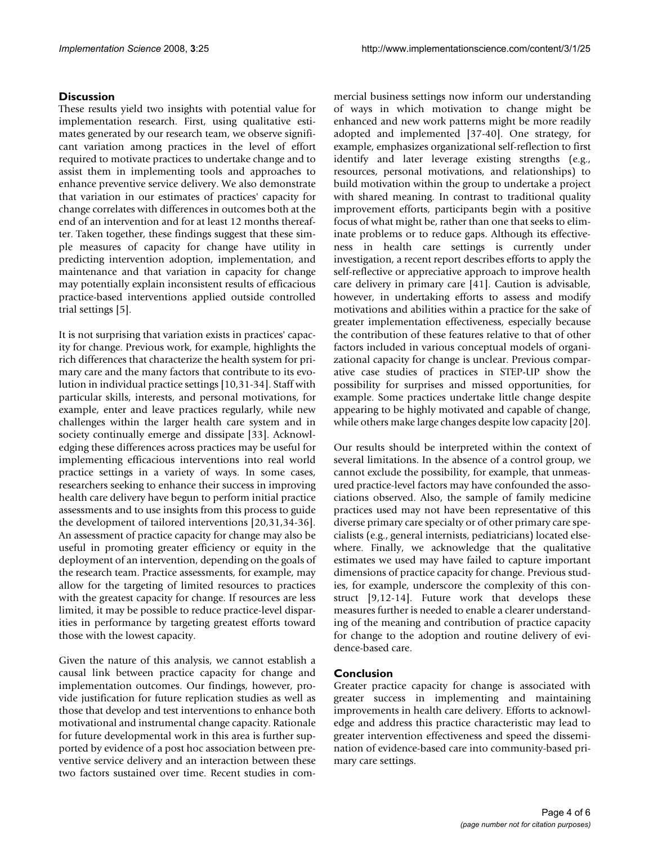#### **Discussion**

These results yield two insights with potential value for implementation research. First, using qualitative estimates generated by our research team, we observe significant variation among practices in the level of effort required to motivate practices to undertake change and to assist them in implementing tools and approaches to enhance preventive service delivery. We also demonstrate that variation in our estimates of practices' capacity for change correlates with differences in outcomes both at the end of an intervention and for at least 12 months thereafter. Taken together, these findings suggest that these simple measures of capacity for change have utility in predicting intervention adoption, implementation, and maintenance and that variation in capacity for change may potentially explain inconsistent results of efficacious practice-based interventions applied outside controlled trial settings [5].

It is not surprising that variation exists in practices' capacity for change. Previous work, for example, highlights the rich differences that characterize the health system for primary care and the many factors that contribute to its evolution in individual practice settings [10,31-34]. Staff with particular skills, interests, and personal motivations, for example, enter and leave practices regularly, while new challenges within the larger health care system and in society continually emerge and dissipate [33]. Acknowledging these differences across practices may be useful for implementing efficacious interventions into real world practice settings in a variety of ways. In some cases, researchers seeking to enhance their success in improving health care delivery have begun to perform initial practice assessments and to use insights from this process to guide the development of tailored interventions [20,31,34-36]. An assessment of practice capacity for change may also be useful in promoting greater efficiency or equity in the deployment of an intervention, depending on the goals of the research team. Practice assessments, for example, may allow for the targeting of limited resources to practices with the greatest capacity for change. If resources are less limited, it may be possible to reduce practice-level disparities in performance by targeting greatest efforts toward those with the lowest capacity.

Given the nature of this analysis, we cannot establish a causal link between practice capacity for change and implementation outcomes. Our findings, however, provide justification for future replication studies as well as those that develop and test interventions to enhance both motivational and instrumental change capacity. Rationale for future developmental work in this area is further supported by evidence of a post hoc association between preventive service delivery and an interaction between these two factors sustained over time. Recent studies in commercial business settings now inform our understanding of ways in which motivation to change might be enhanced and new work patterns might be more readily adopted and implemented [37-40]. One strategy, for example, emphasizes organizational self-reflection to first identify and later leverage existing strengths (e.g., resources, personal motivations, and relationships) to build motivation within the group to undertake a project with shared meaning. In contrast to traditional quality improvement efforts, participants begin with a positive focus of what might be, rather than one that seeks to eliminate problems or to reduce gaps. Although its effectiveness in health care settings is currently under investigation, a recent report describes efforts to apply the self-reflective or appreciative approach to improve health care delivery in primary care [41]. Caution is advisable, however, in undertaking efforts to assess and modify motivations and abilities within a practice for the sake of greater implementation effectiveness, especially because the contribution of these features relative to that of other factors included in various conceptual models of organizational capacity for change is unclear. Previous comparative case studies of practices in STEP-UP show the possibility for surprises and missed opportunities, for example. Some practices undertake little change despite appearing to be highly motivated and capable of change, while others make large changes despite low capacity [20].

Our results should be interpreted within the context of several limitations. In the absence of a control group, we cannot exclude the possibility, for example, that unmeasured practice-level factors may have confounded the associations observed. Also, the sample of family medicine practices used may not have been representative of this diverse primary care specialty or of other primary care specialists (e.g., general internists, pediatricians) located elsewhere. Finally, we acknowledge that the qualitative estimates we used may have failed to capture important dimensions of practice capacity for change. Previous studies, for example, underscore the complexity of this construct [9,12-14]. Future work that develops these measures further is needed to enable a clearer understanding of the meaning and contribution of practice capacity for change to the adoption and routine delivery of evidence-based care.

#### **Conclusion**

Greater practice capacity for change is associated with greater success in implementing and maintaining improvements in health care delivery. Efforts to acknowledge and address this practice characteristic may lead to greater intervention effectiveness and speed the dissemination of evidence-based care into community-based primary care settings.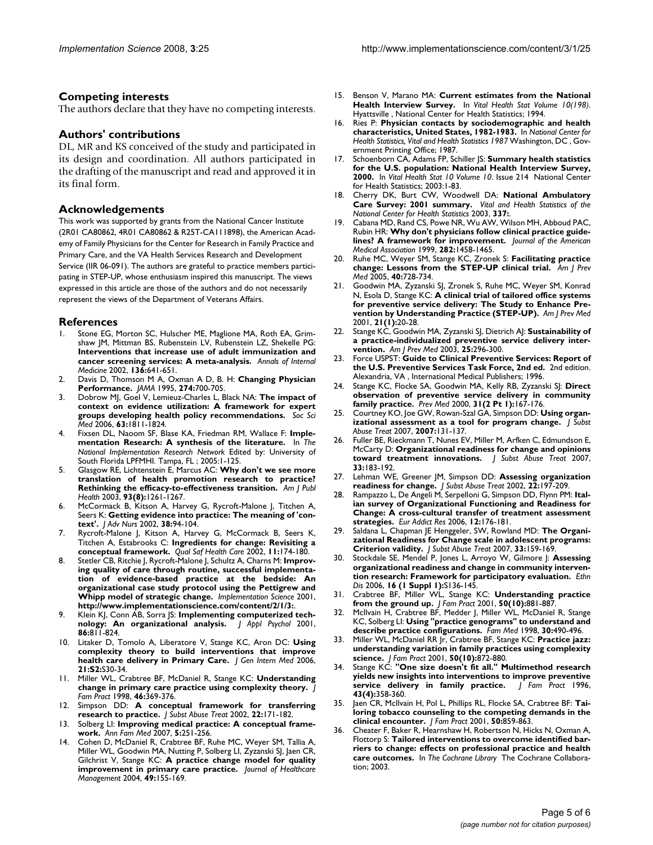#### **Competing interests**

The authors declare that they have no competing interests.

#### **Authors' contributions**

DL, MR and KS conceived of the study and participated in its design and coordination. All authors participated in the drafting of the manuscript and read and approved it in its final form.

#### **Acknowledgements**

This work was supported by grants from the National Cancer Institute (2R01 CA80862, 4R01 CA80862 & R25T-CA111898), the American Academy of Family Physicians for the Center for Research in Family Practice and Primary Care, and the VA Health Services Research and Development Service (IIR 06-091). The authors are grateful to practice members participating in STEP-UP, whose enthusiasm inspired this manuscript. The views expressed in this article are those of the authors and do not necessarily represent the views of the Department of Veterans Affairs.

#### **References**

- Stone EG, Morton SC, Hulscher ME, Maglione MA, Roth EA, Grimshaw JM, Mittman BS, Rubenstein LV, Rubenstein LZ, Shekelle PG: **[Interventions that increase use of adult immunization and](http://www.ncbi.nlm.nih.gov/entrez/query.fcgi?cmd=Retrieve&db=PubMed&dopt=Abstract&list_uids=11992299) [cancer screening services: A meta-analysis.](http://www.ncbi.nlm.nih.gov/entrez/query.fcgi?cmd=Retrieve&db=PubMed&dopt=Abstract&list_uids=11992299)** *Annals of Internal Medicine* 2002, **136:**641-651.
- 2. Davis D, Thomson M A, Oxman A D, B. H: **[Changing Physician](http://www.ncbi.nlm.nih.gov/entrez/query.fcgi?cmd=Retrieve&db=PubMed&dopt=Abstract&list_uids=7650822) [Performance.](http://www.ncbi.nlm.nih.gov/entrez/query.fcgi?cmd=Retrieve&db=PubMed&dopt=Abstract&list_uids=7650822)** *JAMA* 1995, **274:**700-705.
- 3. Dobrow MJ, Goel V, Lemieuz-Charles L, Black NA: **[The impact of](http://www.ncbi.nlm.nih.gov/entrez/query.fcgi?cmd=Retrieve&db=PubMed&dopt=Abstract&list_uids=16764980) [context on evidence utilization: A framework for expert](http://www.ncbi.nlm.nih.gov/entrez/query.fcgi?cmd=Retrieve&db=PubMed&dopt=Abstract&list_uids=16764980) [groups developing health policy recommendations.](http://www.ncbi.nlm.nih.gov/entrez/query.fcgi?cmd=Retrieve&db=PubMed&dopt=Abstract&list_uids=16764980)** *Soc Sci Med* 2006, **63:**1811-1824.
- 4. Fixsen DL, Naoom SF, Blase KA, Friedman RM, Wallace F: **Implementation Research: A synthesis of the literature.** In *The National Implementation Research Network* Edited by: University of South Florida LPFMHI. Tampa, FL ; 2005:1-125.
- 5. Glasgow RE, Lichtenstein E, Marcus AC: **Why don't we see more translation of health promotion research to practice? Rethinking the efficacy-to-effectiveness transition.** *Am J Publ Health* 2003, **93(8):**1261-1267.
- 6. McCormack B, Kitson A, Harvey G, Rycroft-Malone J, Titchen A, Seers K: **[Getting evidence into practice: The meaning of 'con](http://www.ncbi.nlm.nih.gov/entrez/query.fcgi?cmd=Retrieve&db=PubMed&dopt=Abstract&list_uids=11895535)[text'.](http://www.ncbi.nlm.nih.gov/entrez/query.fcgi?cmd=Retrieve&db=PubMed&dopt=Abstract&list_uids=11895535)** *J Adv Nurs* 2002, **38:**94-104.
- 7. Rycroft-Malone J, Kitson A, Harvey G, McCormack B, Seers K, Titchen A, Estabrooks C: **[Ingredients for change: Revisiting a](http://www.ncbi.nlm.nih.gov/entrez/query.fcgi?cmd=Retrieve&db=PubMed&dopt=Abstract&list_uids=12448812) [conceptual framework.](http://www.ncbi.nlm.nih.gov/entrez/query.fcgi?cmd=Retrieve&db=PubMed&dopt=Abstract&list_uids=12448812)** *Qual Saf Health Care* 2002, **11:**174-180.
- 8. Stetler CB, Ritchie J, Rycroft-Malone J, Schultz A, Charns M: **Improving quality of care through routine, successful implementation of evidence-based practice at the bedside: An organizational case study protocol using the Pettigrew and Whipp model of strategic change.** *Implementation Science* 2001, **http://www.implementationscience.com/content/2/1/3:**.
- 9. Klein KJ, Conn AB, Sorra JS: **[Implementing computerized tech](http://www.ncbi.nlm.nih.gov/entrez/query.fcgi?cmd=Retrieve&db=PubMed&dopt=Abstract&list_uids=11596799)[nology: An organizational analysis.](http://www.ncbi.nlm.nih.gov/entrez/query.fcgi?cmd=Retrieve&db=PubMed&dopt=Abstract&list_uids=11596799)** *J Appl Psychol* 2001, **86:**811-824.
- 10. Litaker D, Tomolo A, Liberatore V, Stange KC, Aron DC: **Using complexity theory to build interventions that improve health care delivery in Primary Care.** *J Gen Intern Med* 2006, **21:S2:**S30-34.
- 11. Miller WL, Crabtree BF, McDaniel R, Stange KC: **[Understanding](http://www.ncbi.nlm.nih.gov/entrez/query.fcgi?cmd=Retrieve&db=PubMed&dopt=Abstract&list_uids=9597994) [change in primary care practice using complexity theory.](http://www.ncbi.nlm.nih.gov/entrez/query.fcgi?cmd=Retrieve&db=PubMed&dopt=Abstract&list_uids=9597994)** *J Fam Pract* 1998, **46:**369-376.
- 12. Simpson DD: **[A conceptual framework for transferring](http://www.ncbi.nlm.nih.gov/entrez/query.fcgi?cmd=Retrieve&db=PubMed&dopt=Abstract&list_uids=12072162) [research to practice.](http://www.ncbi.nlm.nih.gov/entrez/query.fcgi?cmd=Retrieve&db=PubMed&dopt=Abstract&list_uids=12072162)** *J Subst Abuse Treat* 2002, **22:**171-182.
- 13. Solberg LI: **[Improving medical practice: A conceptual frame](http://www.ncbi.nlm.nih.gov/entrez/query.fcgi?cmd=Retrieve&db=PubMed&dopt=Abstract&list_uids=17548853)[work.](http://www.ncbi.nlm.nih.gov/entrez/query.fcgi?cmd=Retrieve&db=PubMed&dopt=Abstract&list_uids=17548853)** *Ann Fam Med* 2007, **5:**251-256.
- Cohen D, McDaniel R, Crabtree BF, Ruhe MC, Weyer SM, Tallia A, Miller WL, Goodwin MA, Nutting P, Solberg LI, Zyzanski SJ, Jaen CR, Gilchrist V, Stange KC: **[A practice change model for quality](http://www.ncbi.nlm.nih.gov/entrez/query.fcgi?cmd=Retrieve&db=PubMed&dopt=Abstract&list_uids=15190858) [improvement in primary care practice.](http://www.ncbi.nlm.nih.gov/entrez/query.fcgi?cmd=Retrieve&db=PubMed&dopt=Abstract&list_uids=15190858)** *Journal of Healthcare Management* 2004, **49:**155-169.
- 15. Benson V, Marano MA: **Current estimates from the National Health Interview Survey.** In *Vital Health Stat Volume 10(198)*. Hyattsville , National Center for Health Statistics; 1994.
- 16. Ries P: **Physician contacts by sociodemographic and health characteristics, United States, 1982-1983.** In *National Center for Health Statistics, Vital and Health Statistics 1987* Washington, DC , Government Printing Office; 1987.
- 17. Schoenborn CA, Adams FP, Schiller JS: **Summary health statistics for the U.S. population: National Health Interview Survey, 2000.** In *Vital Health Stat 10 Volume 10*. Issue 214 National Center for Health Statistics; 2003:1-83.
- 18. Cherry DK, Burt CW, Woodwell DA: **National Ambulatory Care Survey: 2001 summary.** *Vital and Health Statistics of the National Center for Health Statistics* 2003, **337:**.
- 19. Cabana MD, Rand CS, Powe NR, Wu AW, Wilson MH, Abboud PAC, Rubin HR: **[Why don't physicians follow clinical practice guide](http://www.ncbi.nlm.nih.gov/entrez/query.fcgi?cmd=Retrieve&db=PubMed&dopt=Abstract&list_uids=10535437)[lines? A framework for improvement.](http://www.ncbi.nlm.nih.gov/entrez/query.fcgi?cmd=Retrieve&db=PubMed&dopt=Abstract&list_uids=10535437)** *Journal of the American Medical Association* 1999, **282:**1458-1465.
- 20. Ruhe MC, Weyer SM, Stange KC, Zronek S: **Facilitating practice change: Lessons from the STEP-UP clinical trial.** *Am J Prev Med* 2005, **40:**728-734.
- 21. Goodwin MA, Zyzanski SJ, Zronek S, Ruhe MC, Weyer SM, Konrad N, Esola D, Stange KC: **[A clinical trial of tailored office systems](http://www.ncbi.nlm.nih.gov/entrez/query.fcgi?cmd=Retrieve&db=PubMed&dopt=Abstract&list_uids=11418253) [for preventive service delivery: The Study to Enhance Pre](http://www.ncbi.nlm.nih.gov/entrez/query.fcgi?cmd=Retrieve&db=PubMed&dopt=Abstract&list_uids=11418253)[vention by Understanding Practice \(STEP-UP\).](http://www.ncbi.nlm.nih.gov/entrez/query.fcgi?cmd=Retrieve&db=PubMed&dopt=Abstract&list_uids=11418253)** *Am J Prev Med* 2001, **21(1):**20-28.
- 22. Stange KC, Goodwin MA, Zyzanski SJ, Dietrich AJ: **[Sustainability of](http://www.ncbi.nlm.nih.gov/entrez/query.fcgi?cmd=Retrieve&db=PubMed&dopt=Abstract&list_uids=14580630) [a practice-individualized preventive service delivery inter](http://www.ncbi.nlm.nih.gov/entrez/query.fcgi?cmd=Retrieve&db=PubMed&dopt=Abstract&list_uids=14580630)[vention.](http://www.ncbi.nlm.nih.gov/entrez/query.fcgi?cmd=Retrieve&db=PubMed&dopt=Abstract&list_uids=14580630)** *Am J Prev Med* 2003, **25:**296-300.
- 23. Force USPST: **Guide to Clinical Preventive Services: Report of the U.S. Preventive Services Task Force, 2nd ed.** 2nd edition. Alexandria, VA , International Medical Publishers; 1996.
- 24. Stange KC, Flocke SA, Goodwin MA, Kelly RB, Zyzanski SJ: **[Direct](http://www.ncbi.nlm.nih.gov/entrez/query.fcgi?cmd=Retrieve&db=PubMed&dopt=Abstract&list_uids=10938218) [observation of preventive service delivery in community](http://www.ncbi.nlm.nih.gov/entrez/query.fcgi?cmd=Retrieve&db=PubMed&dopt=Abstract&list_uids=10938218) [family practice.](http://www.ncbi.nlm.nih.gov/entrez/query.fcgi?cmd=Retrieve&db=PubMed&dopt=Abstract&list_uids=10938218)** *Prev Med* 2000, **31(2 Pt 1):**167-176.
- 25. Courtney KO, Joe GW, Rowan-Szal GA, Simpson DD: **Using organizational assessment as a tool for program change.** *J Subst Abuse Treat* 2007, **2007:**131-137.
- 26. Fuller BE, Rieckmann T, Nunes EV, Miller M, Arfken C, Edmundson E, McCarty D: **[Organizational readiness for change and opinions](http://www.ncbi.nlm.nih.gov/entrez/query.fcgi?cmd=Retrieve&db=PubMed&dopt=Abstract&list_uids=17434708) [toward treatment innovations.](http://www.ncbi.nlm.nih.gov/entrez/query.fcgi?cmd=Retrieve&db=PubMed&dopt=Abstract&list_uids=17434708)** *J Subst Abuse Treat* 2007, **33:**183-192.
- 27. Lehman WE, Greener JM, Simpson DD: **[Assessing organization](http://www.ncbi.nlm.nih.gov/entrez/query.fcgi?cmd=Retrieve&db=PubMed&dopt=Abstract&list_uids=12072164) [readiness for change.](http://www.ncbi.nlm.nih.gov/entrez/query.fcgi?cmd=Retrieve&db=PubMed&dopt=Abstract&list_uids=12072164)** *J Subst Abuse Treat* 2002, **22:**197-209.
- 28. Rampazzo L, De Angeli M, Serpelloni G, Simpson DD, Flynn PM: **[Ital](http://www.ncbi.nlm.nih.gov/entrez/query.fcgi?cmd=Retrieve&db=PubMed&dopt=Abstract&list_uids=16968992)ian survey of Organizational Functioning and Readiness for [Change: A cross-cultural transfer of treatment assessment](http://www.ncbi.nlm.nih.gov/entrez/query.fcgi?cmd=Retrieve&db=PubMed&dopt=Abstract&list_uids=16968992) [strategies.](http://www.ncbi.nlm.nih.gov/entrez/query.fcgi?cmd=Retrieve&db=PubMed&dopt=Abstract&list_uids=16968992)** *Eur Addict Res* 2006, **12:**176-181.
- 29. Saldana L, Chapman JE Henggeler, SW, Rowland MD: **[The Organi](http://www.ncbi.nlm.nih.gov/entrez/query.fcgi?cmd=Retrieve&db=PubMed&dopt=Abstract&list_uids=17434703)[zational Readiness for Change scale in adolescent programs:](http://www.ncbi.nlm.nih.gov/entrez/query.fcgi?cmd=Retrieve&db=PubMed&dopt=Abstract&list_uids=17434703) [Criterion validity.](http://www.ncbi.nlm.nih.gov/entrez/query.fcgi?cmd=Retrieve&db=PubMed&dopt=Abstract&list_uids=17434703)** *J Subst Abuse Treat* 2007, **33:**159-169.
- 30. Stockdale SE, Mendel P, Jones L, Arroyo W, Gilmore J: **Assessing organizational readiness and change in community intervention research: Framework for participatory evaluation.** *Ethn Dis* 2006, **16 (1 Suppl 1):**S136-145.
- 31. Crabtree BF, Miller WL, Stange KC: **[Understanding practice](http://www.ncbi.nlm.nih.gov/entrez/query.fcgi?cmd=Retrieve&db=PubMed&dopt=Abstract&list_uids=11674891) [from the ground up.](http://www.ncbi.nlm.nih.gov/entrez/query.fcgi?cmd=Retrieve&db=PubMed&dopt=Abstract&list_uids=11674891)** *J Fam Pract* 2001, **50(10):**881-887.
- 32. McIlvain H, Crabtree BF, Medder J, Miller WL, McDaniel R, Stange KC, Solberg LI: **[Using "practice genograms" to understand and](http://www.ncbi.nlm.nih.gov/entrez/query.fcgi?cmd=Retrieve&db=PubMed&dopt=Abstract&list_uids=9669161) [describe practice configurations.](http://www.ncbi.nlm.nih.gov/entrez/query.fcgi?cmd=Retrieve&db=PubMed&dopt=Abstract&list_uids=9669161)** *Fam Med* 1998, **30:**490-496.
- 33. Miller WL, McDaniel RR Jr, Crabtree BF, Stange KC: **[Practice jazz:](http://www.ncbi.nlm.nih.gov/entrez/query.fcgi?cmd=Retrieve&db=PubMed&dopt=Abstract&list_uids=11674890) [understanding variation in family practices using complexity](http://www.ncbi.nlm.nih.gov/entrez/query.fcgi?cmd=Retrieve&db=PubMed&dopt=Abstract&list_uids=11674890) [science.](http://www.ncbi.nlm.nih.gov/entrez/query.fcgi?cmd=Retrieve&db=PubMed&dopt=Abstract&list_uids=11674890)** *J Fam Pract* 2001, **50(10):**872-880.
- 34. Stange KC: **["One size doesn't fit all." Multimethod research](http://www.ncbi.nlm.nih.gov/entrez/query.fcgi?cmd=Retrieve&db=PubMed&dopt=Abstract&list_uids=8874370) [yields new insights into interventions to improve preventive](http://www.ncbi.nlm.nih.gov/entrez/query.fcgi?cmd=Retrieve&db=PubMed&dopt=Abstract&list_uids=8874370) [service delivery in family practice.](http://www.ncbi.nlm.nih.gov/entrez/query.fcgi?cmd=Retrieve&db=PubMed&dopt=Abstract&list_uids=8874370)** *J Fam Pract* 1996, **43(4):**358-360.
- Jaen CR, McIlvain H, Pol L, Phillips RL, Flocke SA, Crabtree BF: [Tai](http://www.ncbi.nlm.nih.gov/entrez/query.fcgi?cmd=Retrieve&db=PubMed&dopt=Abstract&list_uids=11674888)**[loring tobacco counseling to the competing demands in the](http://www.ncbi.nlm.nih.gov/entrez/query.fcgi?cmd=Retrieve&db=PubMed&dopt=Abstract&list_uids=11674888) [clinical encounter.](http://www.ncbi.nlm.nih.gov/entrez/query.fcgi?cmd=Retrieve&db=PubMed&dopt=Abstract&list_uids=11674888)** *J Fam Pract* 2001, **50:**859-863.
- 36. Cheater F, Baker R, Hearnshaw H, Robertson N, Hicks N, Oxman A, Flottorp S: **Tailored interventions to overcome identified barriers to change: effects on professional practice and health care outcomes.** In *The Cochrane Library* The Cochrane Collaboration; 2003.